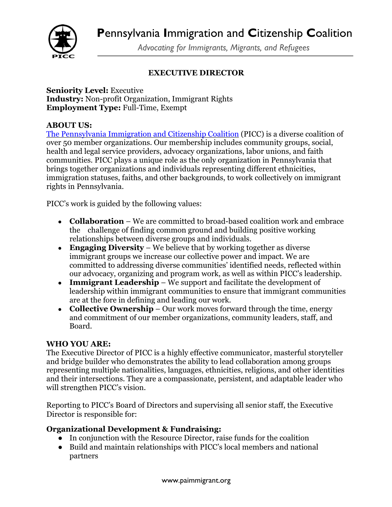

*Advocating for Immigrants, Migrants, and Refugees*

## **EXECUTIVE DIRECTOR**

**Seniority Level:** Executive **Industry:** Non-profit Organization, Immigrant Rights **Employment Type:** Full-Time, Exempt

### **ABOUT US:**

The Pennsylvania Immigration and Citizenship Coalition (PICC) is a diverse coalition of over 50 member organizations. Our membership includes community groups, social, health and legal service providers, advocacy organizations, labor unions, and faith communities. PICC plays a unique role as the only organization in Pennsylvania that brings together organizations and individuals representing different ethnicities, immigration statuses, faiths, and other backgrounds, to work collectively on immigrant rights in Pennsylvania.

PICC's work is guided by the following values:

- **Collaboration** We are committed to broad-based coalition work and embrace the challenge of finding common ground and building positive working relationships between diverse groups and individuals.
- **Engaging Diversity** We believe that by working together as diverse immigrant groups we increase our collective power and impact. We are committed to addressing diverse communities' identified needs, reflected within our advocacy, organizing and program work, as well as within PICC's leadership.
- **Immigrant Leadership** We support and facilitate the development of leadership within immigrant communities to ensure that immigrant communities are at the fore in defining and leading our work.
- **Collective Ownership** Our work moves forward through the time, energy and commitment of our member organizations, community leaders, staff, and Board.

#### **WHO YOU ARE:**

The Executive Director of PICC is a highly effective communicator, masterful storyteller and bridge builder who demonstrates the ability to lead collaboration among groups representing multiple nationalities, languages, ethnicities, religions, and other identities and their intersections. They are a compassionate, persistent, and adaptable leader who will strengthen PICC's vision.

Reporting to PICC's Board of Directors and supervising all senior staff, the Executive Director is responsible for:

## **Organizational Development & Fundraising:**

- In conjunction with the Resource Director, raise funds for the coalition
- Build and maintain relationships with PICC's local members and national partners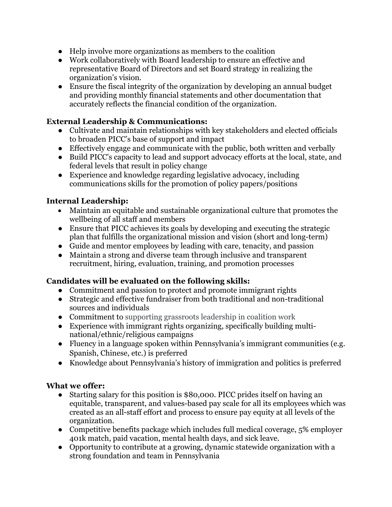- Help involve more organizations as members to the coalition
- Work collaboratively with Board leadership to ensure an effective and representative Board of Directors and set Board strategy in realizing the organization's vision.
- Ensure the fiscal integrity of the organization by developing an annual budget and providing monthly financial statements and other documentation that accurately reflects the financial condition of the organization.

## **External Leadership & Communications:**

- Cultivate and maintain relationships with key stakeholders and elected officials to broaden PICC's base of support and impact
- Effectively engage and communicate with the public, both written and verbally
- Build PICC's capacity to lead and support advocacy efforts at the local, state, and federal levels that result in policy change
- Experience and knowledge regarding legislative advocacy, including communications skills for the promotion of policy papers/positions

## **Internal Leadership:**

- Maintain an equitable and sustainable organizational culture that promotes the wellbeing of all staff and members
- Ensure that PICC achieves its goals by developing and executing the strategic plan that fulfills the organizational mission and vision (short and long-term)
- Guide and mentor employees by leading with care, tenacity, and passion
- Maintain a strong and diverse team through inclusive and transparent recruitment, hiring, evaluation, training, and promotion processes

# **Candidates will be evaluated on the following skills:**

- Commitment and passion to protect and promote immigrant rights
- Strategic and effective fundraiser from both traditional and non-traditional sources and individuals
- Commitment to supporting grassroots leadership in coalition work
- Experience with immigrant rights organizing, specifically building multinational/ethnic/religious campaigns
- Fluency in a language spoken within Pennsylvania's immigrant communities (e.g. Spanish, Chinese, etc.) is preferred
- Knowledge about Pennsylvania's history of immigration and politics is preferred

## **What we offer:**

- Starting salary for this position is \$80,000. PICC prides itself on having an equitable, transparent, and values-based pay scale for all its employees which was created as an all-staff effort and process to ensure pay equity at all levels of the organization.
- Competitive benefits package which includes full medical coverage, 5% employer 401k match, paid vacation, mental health days, and sick leave.
- Opportunity to contribute at a growing, dynamic statewide organization with a strong foundation and team in Pennsylvania